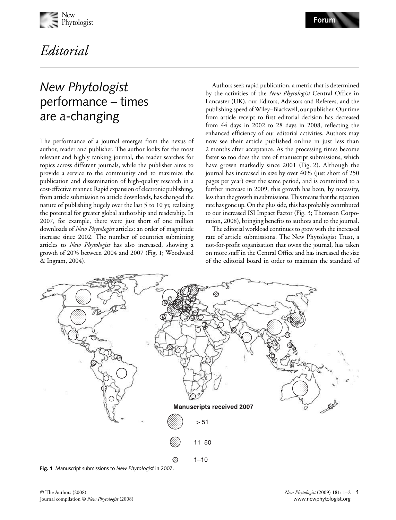



## Editorial

## *New Phytologist* performance – times are a-changing

The performance of a journal emerges from the nexus of author, reader and publisher. The author looks for the most relevant and highly ranking journal, the reader searches for topics across different journals, while the publisher aims to provide a service to the community and to maximize the publication and dissemination of high-quality research in a cost-effective manner. Rapid expansion of electronic publishing, from article submission to article downloads, has changed the nature of publishing hugely over the last 5 to 10 yr, realizing the potential for greater global authorship and readership. In 2007, for example, there were just short of one million downloads of *New Phytologist* articles: an order of magnitude increase since 2002. The number of countries submitting articles to *New Phytologist* has also increased, showing a growth of 20% between 2004 and 2007 (Fig. 1; Woodward & Ingram, 2004).

Authors seek rapid publication, a metric that is determined by the activities of the *New Phytologist* Central Office in Lancaster (UK), our Editors, Advisors and Referees, and the publishing speed of Wiley–Blackwell, our publisher. Our time from article receipt to first editorial decision has decreased from 44 days in 2002 to 28 days in 2008, reflecting the enhanced efficiency of our editorial activities. Authors may now see their article published online in just less than 2 months after acceptance. As the processing times become faster so too does the rate of manuscript submissions, which have grown markedly since 2001 (Fig. 2). Although the journal has increased in size by over 40% (just short of 250 pages per year) over the same period, and is committed to a further increase in 2009, this growth has been, by necessity, less than the growth in submissions. This means that the rejection rate has gone up. On the plus side, this has probably contributed to our increased ISI Impact Factor (Fig. 3; Thomson Corporation, 2008), bringing benefits to authors and to the journal.

The editorial workload continues to grow with the increased rate of article submissions. The New Phytologist Trust, a not-for-profit organization that owns the journal, has taken on more staff in the Central Office and has increased the size of the editorial board in order to maintain the standard of



**Fig. 1** Manuscript submissions to *New Phytologist* in 2007.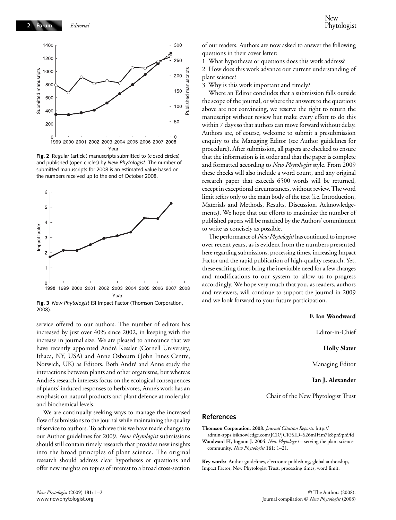

**Fig. 2** Regular (article) manuscripts submitted to (closed circles) and published (open circles) by *New Phytologist*. The number of submitted manuscripts for 2008 is an estimated value based on the numbers received up to the end of October 2008.



**Fig. 3** *New Phytologist* ISI Impact Factor (Thomson Corporation, 2008).

service offered to our authors. The number of editors has increased by just over 40% since 2002, in keeping with the increase in journal size. We are pleased to announce that we have recently appointed André Kessler (Cornell University, Ithaca, NY, USA) and Anne Osbourn ( John Innes Centre, Norwich, UK) as Editors. Both André and Anne study the interactions between plants and other organisms, but whereas André's research interests focus on the ecological consequences of plants' induced responses to herbivores, Anne's work has an emphasis on natural products and plant defence at molecular and biochemical levels.

We are continually seeking ways to manage the increased flow of submissions to the journal while maintaining the quality of service to authors. To achieve this we have made changes to our Author guidelines for 2009. *New Phytologist* submissions should still contain timely research that provides new insights into the broad principles of plant science. The original research should address clear hypotheses or questions and offer new insights on topics of interest to a broad cross-section

of our readers. Authors are now asked to answer the following questions in their cover letter:

1 What hypotheses or questions does this work address?

2 How does this work advance our current understanding of plant science?

3 Why is this work important and timely?

Where an Editor concludes that a submission falls outside the scope of the journal, or where the answers to the questions above are not convincing, we reserve the right to return the manuscript without review but make every effort to do this within 7 days so that authors can move forward without delay. Authors are, of course, welcome to submit a presubmission enquiry to the Managing Editor (see Author guidelines for procedure). After submission, all papers are checked to ensure that the information is in order and that the paper is complete and formatted according to *New Phytologist* style. From 2009 these checks will also include a word count, and any original research paper that exceeds 6500 words will be returned, except in exceptional circumstances, without review. The word limit refers only to the main body of the text (i.e. Introduction, Materials and Methods, Results, Discussion, Acknowledgements). We hope that our efforts to maximize the number of published papers will be matched by the Authors' commitment to write as concisely as possible.

The performance of *New Phytologist* has continued to improve over recent years, as is evident from the numbers presented here regarding submissions, processing times, increasing Impact Factor and the rapid publication of high-quality research. Yet, these exciting times bring the inevitable need for a few changes and modifications to our system to allow us to progress accordingly. We hope very much that you, as readers, authors and reviewers, will continue to support the journal in 2009 and we look forward to your future participation.

#### **F. Ian Woodward**

Editor-in-Chief

#### **Holly Slater**

Managing Editor

**Ian J. Alexander**

Chair of the New Phytologist Trust

#### **References**

**Thomson Corporation. 2008.** *Journal Citation Reports*. [http://](http://admin-apps.isiknowledge.com/JCR/JCR?SID=S26mIHm7lc8pn9pn9fd) admin-apps.isiknowledge.com/JCR/JCR?SID=S26mIHm7lc8pn9pn9fd

**Woodward FI, Ingram J. 2004.** *New Phytologist* – serving the plant science community. *New Phytologist* **161**: 1–21.

**Key words:** Author guidelines, electronic publishing, global authorship, Impact Factor, New Phytologist Trust, processing times, word limit.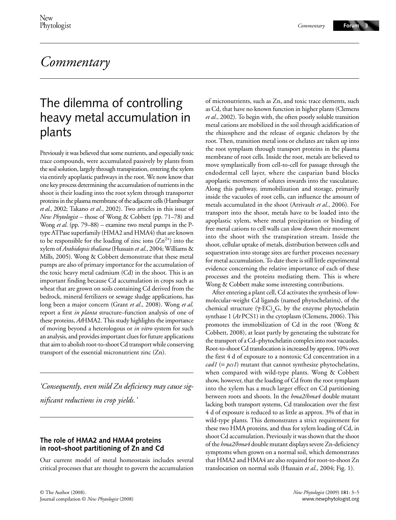## *Commentary*

# The dilemma of controlling heavy metal accumulation in plants

Previously it was believed that some nutrients, and especially toxic trace compounds, were accumulated passively by plants from the soil solution, largely through transpiration, entering the xylem via entirely apoplastic pathways in the root. We now know that one key process determining the accumulation of nutrients in the shoot is their loading into the root xylem through transporter proteins in the plasma membrane of the adjacent cells (Hamburger *et al*., 2002; Takano *et al*., 2002). Two articles in this issue of *New Phytologist* – those of Wong & Cobbett (pp. 71–78) and Wong *et al*. (pp. 79–88) – examine two metal pumps in the Ptype ATPase superfamily (HMA2 and HMA4) that are known to be responsible for the loading of zinc ions  $(Zn^{2+})$  into the xylem of *Arabidopsis thaliana* (Hussain *et al*., 2004; Williams & Mills, 2005). Wong & Cobbett demonstrate that these metal pumps are also of primary importance for the accumulation of the toxic heavy metal cadmium (Cd) in the shoot. This is an important finding because Cd accumulation in crops such as wheat that are grown on soils containing Cd derived from the bedrock, mineral fertilizers or sewage sludge applications, has long been a major concern (Grant *et al*., 2008). Wong *et al*. report a first *in planta* structure–function analysis of one of these proteins, *At*HMA2. This study highlights the importance of moving beyond a heterologous or *in vitro* system for such an analysis, and provides important clues for future applications that aim to abolish root-to-shoot Cd transport while conserving transport of the essential micronutrient zinc (Zn).

*'Consequently, even mild Zn deficiency may cause significant reductions in crop yields.'*

## **The role of HMA2 and HMA4 proteins in root–shoot partitioning of Zn and Cd**

Our current model of metal homeostasis includes several critical processes that are thought to govern the accumulation

of micronutrients, such as Zn, and toxic trace elements, such as Cd, that have no known function in higher plants (Clemens *et al*., 2002). To begin with, the often poorly soluble transition metal cations are mobilized in the soil through acidification of the rhizosphere and the release of organic chelators by the root. Then, transition metal ions or chelates are taken up into the root symplasm through transport proteins in the plasma membrane of root cells. Inside the root, metals are believed to move symplastically from cell-to-cell for passage through the endodermal cell layer, where the casparian band blocks apoplastic movement of solutes inwards into the vasculature. Along this pathway, immobilization and storage, primarily inside the vacuoles of root cells, can influence the amount of metals accumulated in the shoot (Arrivault *et al*., 2006). For transport into the shoot, metals have to be loaded into the apoplastic xylem, where metal precipitation or binding of free metal cations to cell walls can slow down their movement into the shoot with the transpiration stream. Inside the shoot, cellular uptake of metals, distribution between cells and sequestration into storage sites are further processes necessary for metal accumulation. To date there is still little experimental evidence concerning the relative importance of each of these processes and the proteins mediating them. This is where Wong & Cobbett make some interesting contributions.

After entering a plant cell, Cd activates the synthesis of lowmolecular-weight Cd ligands (named phytochelatins), of the chemical structure  $(γ-EC)$ <sub>n</sub>G, by the enzyme phytochelatin synthase 1 (*At* PCS1) in the cytoplasm (Clemens, 2006). This promotes the immobilization of Cd in the root (Wong & Cobbett, 2008), at least partly by generating the substrate for the transport of a Cd–phytochelatin complex into root vacuoles. Root-to-shoot Cd translocation is increased by approx. 10% over the first 4 d of exposure to a nontoxic Cd concentration in a  $cad1 (= pcs1)$  mutant that cannot synthesize phytochelatins, when compared with wild-type plants. Wong & Cobbett show, however, that the loading of Cd from the root symplasm into the xylem has a much larger effect on Cd partitioning between roots and shoots. In the *hma2/hma4* double mutant lacking both transport systems, Cd translocation over the first 4 d of exposure is reduced to as little as approx. 3% of that in wild-type plants. This demonstrates a strict requirement for these two HMA proteins, and thus for xylem loading of Cd, in shoot Cd accumulation. Previously it was shown that the shoot of the *hma2/hma4* double mutant displays severe Zn-deficiency symptoms when grown on a normal soil, which demonstrates that HMA2 and HMA4 are also required for root-to-shoot Zn translocation on normal soils (Hussain *et al*., 2004; Fig. 1).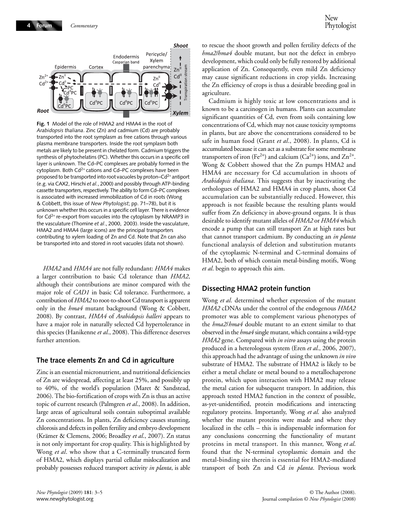

**Fig. 1** Model of the role of HMA2 and HMA4 in the root of *Arabidopsis thaliana*. Zinc (Zn) and cadmium (Cd) are probably transported into the root symplasm as free cations through various plasma membrane transporters. Inside the root symplasm both metals are likely to be present in chelated form. Cadmium triggers the synthesis of phytochelatins (PC). Whether this occurs in a specific cell layer is unknown. The Cd–PC complexes are probably formed in the cytoplasm. Both  $Cd^{2+}$  cations and Cd–PC complexes have been proposed to be transported into root vacuoles by proton–Cd<sup>2+</sup> antiport (e.g. via CAX2, Hirschi *et al.*, 2000) and possibly through ATP-binding cassette transporters, respectively. The ability to form Cd–PC complexes is associated with increased immobilization of Cd in roots (Wong & Cobbett, this issue of *New Phytologist*; pp. 71–78), but it is unknown whether this occurs in a specific cell layer. There is evidence for  $Cd^{2+}$  re-export from vacuoles into the cytoplasm by NRAMP3 in the vasculature (Thomine *et al*., 2000, 2003). Inside the vasculature, HMA2 and HMA4 (large icons) are the principal transporters contributing to xylem loading of Zn and Cd. Note that Zn can also be transported into and stored in root vacuoles (data not shown).

*HMA2* and *HMA4* are not fully redundant: *HMA4* makes a larger contribution to basic Cd tolerance than *HMA2*, although their contributions are minor compared with the major role of *CAD1* in basic Cd tolerance. Furthermore, a contribution of *HMA2* to root-to-shoot Cd transport is apparent only in the *hma4* mutant background (Wong & Cobbett, 2008). By contrast, *HMA4* of *Arabidopsis halleri* appears to have a major role in naturally selected Cd hypertolerance in this species (Hanikenne *et al*., 2008). This difference deserves further attention.

#### **The trace elements Zn and Cd in agriculture**

Zinc is an essential micronutrient, and nutritional deficiencies of Zn are widespread, affecting at least 25%, and possibly up to 40%, of the world's population (Maret & Sandstead, 2006). The bio-fortification of crops with Zn is thus an active topic of current research (Palmgren *et al*., 2008). In addition, large areas of agricultural soils contain suboptimal available Zn concentrations. In plants, Zn deficiency causes stunting, chlorosis and defects in pollen fertility and embryo development (Krämer & Clemens, 2006; Broadley *et al*., 2007). Zn status is not only important for crop quality. This is highlighted by Wong *et al*. who show that a C-terminally truncated form of HMA2, which displays partial cellular mislocalization and probably possesses reduced transport activity *in planta*, is able to rescue the shoot growth and pollen fertility defects of the *hma2/hma4* double mutant, but not the defect in embryo development, which could only be fully restored by additional application of Zn. Consequently, even mild Zn deficiency may cause significant reductions in crop yields. Increasing the Zn efficiency of crops is thus a desirable breeding goal in agriculture.

Cadmium is highly toxic at low concentrations and is known to be a carcinogen in humans. Plants can accumulate significant quantities of Cd, even from soils containing low concentrations of Cd, which may not cause toxicity symptoms in plants, but are above the concentrations considered to be safe in human food (Grant *et al*., 2008). In plants, Cd is accumulated because it can act as a substrate for some membrane transporters of iron (Fe<sup>2+</sup>) and calcium (Ca<sup>2+</sup>) ions, and  $Zn^{2+}$ . Wong & Cobbett showed that the Zn pumps HMA2 and HMA4 are necessary for Cd accumulation in shoots of *Arabidopsis thaliana*. This suggests that by inactivating the orthologues of HMA2 and HMA4 in crop plants, shoot Cd accumulation can be substantially reduced. However, this approach is not feasible because the resulting plants would suffer from Zn deficiency in above-ground organs. It is thus desirable to identify mutant alleles of *HMA2* or *HMA4* which encode a pump that can still transport Zn at high rates but that cannot transport cadmium. By conducting an *in planta* functional analaysis of deletion and substitution mutants of the cytoplasmic N-terminal and C-terminal domains of HMA2, both of which contain metal-binding motifs, Wong *et al*. begin to approach this aim.

#### **Dissecting HMA2 protein function**

Wong *et al*. determined whether expression of the mutant *HMA2* cDNAs under the control of the endogenous *HMA2* promoter was able to complement various phenotypes of the *hma2*/*hma4* double mutant to an extent similar to that observed in the *hma4* single mutant, which contains a wild-type *HMA2* gene. Compared with *in vitro* assays using the protein produced in a heterologous system (Eren *et al*., 2006, 2007), this approach had the advantage of using the unknown *in vivo* substrate of HMA2. The substrate of HMA2 is likely to be either a metal chelate or metal bound to a metallochaperone protein, which upon interaction with HMA2 may release the metal cation for subsequent transport. In addition, this approach tested HMA2 function in the context of possible, as-yet-unidentified, protein modifications and interacting regulatory proteins. Importantly, Wong *et al*. also analyzed whether the mutant proteins were made and where they localized in the cells – this is indispensable information for any conclusions concerning the functionality of mutant proteins in metal transport. In this manner, Wong *et al*. found that the N-terminal cytoplasmic domain and the metal-binding site therein is essential for HMA2-mediated transport of both Zn and Cd *in planta*. Previous work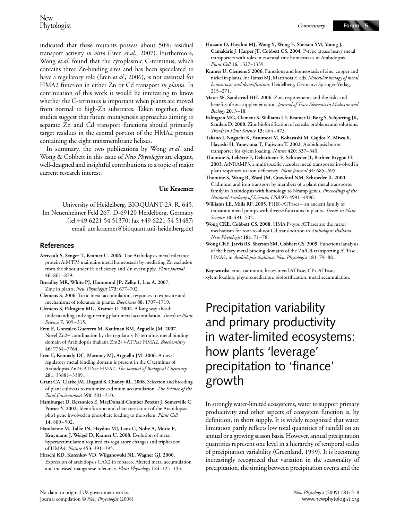indicated that these mutants possess about 50% residual transport activity *in vitro* (Eren *et al*., 2007). Furthermore, Wong *et al*. found that the cytoplasmic C-terminus, which contains three Zn-binding sites and has been speculated to have a regulatory role (Eren *et al*., 2006), is not essential for HMA2 function in either Zn or Cd transport *in planta*. In continuation of this work it would be interesting to know whether the C-terminus is important when plants are moved from normal to high-Zn substrates. Taken together, these studies suggest that future mutagenesis approaches aiming to separate Zn and Cd transport functions should primarily target residues in the central portion of the HMA2 protein containing the eight transmembrane helixes.

In summary, the two publications by Wong *et al*. and Wong & Cobbett in this issue of *New Phytologist* are elegant, well-designed and insightful contributions to a topic of major current research interest.

#### **Ute Kraemer**

University of Heidelberg, BIOQUANT 23, R. 645, Im Neuenheimer Feld 267, D-69120 Heidelberg, Germany (tel +49 6221 54 51370; fax +49 6221 54 51487; email ute.kraemer@bioquant.uni-heidelberg.de)

#### **References**

- **Arrivault S, Senger T, Kramer U. 2006.** The Arabidopsis metal tolerance protein AtMTP3 maintains metal homeostasis by mediating Zn exclusion from the shoot under Fe deficiency and Zn oversupply. *Plant Journal* **46**: 861–879.
- **Broadley MR, White PJ, Hammond JP, Zelko I, Lux A. 2007.**  Zinc in plants. *New Phytologist* **173**: 677–702.
- **Clemens S. 2006.** Toxic metal accumulation, responses to exposure and mechanisms of tolerance in plants. *Biochimie* **88**: 1707–1719.
- **Clemens S, Palmgren MG, Kramer U. 2002.** A long way ahead: understanding and engineering plant metal accumulation. *Trends in Plant Science* **7**: 309–315.
- **Eren E, Gonzalez-Guerrero M, Kaufman BM, Arguello JM. 2007.**  Novel Zn2+ coordination by the regulatory N-terminus metal binding domain of Arabidopsis thaliana Zn(2+)-ATPase HMA2. *Biochemistry* **46**: 7754–7764.
- **Eren E, Kennedy DC, Maroney MJ, Arguello JM. 2006.** A novel regulatory metal binding domain is present in the C terminus of Arabidopsis Zn2+-ATPase HMA2. *The Journal of Biological Chemistry* **281**: 33881–33891.
- **Grant CA, Clarke JM, Duguid S, Chaney RL. 2008.** Selection and breeding of plant cultivars to minimize cadmium accumulation. *The Science of the Total Environment* **390**: 301–310.
- **Hamburger D, Rezzonico E, MacDonald-Comber Petetot J, Somerville C, Poirier Y. 2002.** Identification and characterization of the Arabidopsis pho1 gene involved in phosphate loading to the xylem. *Plant Cell* **14**: 889–902.
- **Hanikenne M, Talke IN, Haydon MJ, Lanz C, Nolte A, Motte P, Kroymann J, Weigel D, Kramer U. 2008.** Evolution of metal hyperaccumulation required cis-regulatory changes and triplication of HMA4. *Nature* **453**: 391–395.
- **Hirschi KD, Korenkov VD, Wilganowski NL, Wagner GJ. 2000.**  Expression of arabidopsis CAX2 in tobacco. Altered metal accumulation and increased manganese tolerance. *Plant Physiology* **124**: 125–133.
- **Hussain D, Haydon MJ, Wang Y, Wong E, Sherson SM, Young J, Camakaris J, Harper JF, Cobbett CS. 2004.** P-type atpase heavy metal transporters with roles in essential zinc homeostasis in Arabidopsis. *Plant Cell* **16**: 1327–1339.
- **Krämer U, Clemens S 2006.** Functions and homeostasis of zinc, copper and nickel in plants. In: Tamas MJ, Martinoia E, eds. *Molecular biology of metal homeostasis and detoxification*. Heidelberg, Germany: Springer-Verlag, 215–271.
- **Maret W, Sandstead HH. 2006.** Zinc requirements and the risks and benefits of zinc supplementation. *Journal of Trace Elements in Medicine and Biology* **20**: 3–18.
- **Palmgren MG, Clemens S, Williams LE, Kramer U, Borg S, Schjorring JK, Sanders D. 2008.** Zinc biofortification of cereals: problems and solutions. *Trends in Plant Science* **13**: 464–473.
- **Takano J, Noguchi K, Yasumori M, Kobayashi M, Gajdos Z, Miwa K, Hayashi H, Yoneyama T, Fujiwara T. 2002.** Arabidopsis boron transporter for xylem loading. *Nature* **420**: 337–340.
- **Thomine S, Lelièvre F, Debarbieux E, Schroeder JI, Barbier-Brygoo H. 2003.** AtNRAMP3, a multispecific vacuolar metal transporter involved in plant responses to iron deficiency. *Plant Journal* **34**: 685–695.
- **Thomine S, Wang R, Ward JM, Crawford NM, Schroeder JI. 2000.**  Cadmium and iron transport by members of a plant metal transporter family in Arabidopsis with homology to Nramp genes. *Proceedings of the National Academy of Sciences, USA* **97**: 4991–4996.
- **Williams LE, Mills RF. 2005.** P(1B)-ATPases an ancient family of transition metal pumps with diverse functions in plants. *Trends in Plant Science* **10**: 491–502.
- **Wong CKE, Cobbett CS. 2008.** HMA P-type ATPases are the major mechanism for root-to-shoot Cd translocation in *Arabidopsis thaliana*. *New Phytologist* **181**: 71–78.
- **Wong CKE, Jarvis RS, Sherson SM, Cobbett CS. 2009.** Functional analysis of the heavy metal binding domains of the Zn/Cd-transporting ATPase, HMA2, in *Arabidopsis thaliana*. *New Phytologist* **181**: 79–88.

**Key words:** zinc, cadmium, heavy metal ATPase, CPx-ATPase, xylem loading, phytoremediation, biofortification, metal accumulation.

## Precipitation variability and primary productivity in water-limited ecosystems: how plants 'leverage' precipitation to 'finance' growth

In strongly water-limited ecosystems, water to support primary productivity and other aspects of ecosystem function is, by definition, in short supply. It is widely recognized that water limitation partly reflects low total quantities of rainfall on an annual or a growing season basis. However, annual precipitation quantities represent one level in a hierarchy of temporal scales of precipitation variability (Greenland, 1999). It is becoming increasingly recognized that variation in the seasonality of precipitation, the timing between precipitation events and the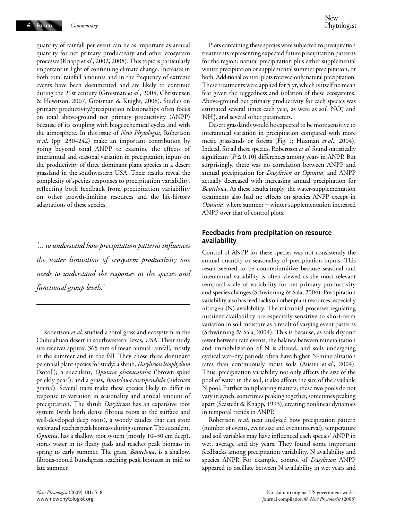quantity of rainfall per event can be as important as annual quantity for net primary productivity and other ecosystem processes (Knapp *et al*., 2002, 2008). This topic is particularly important in light of continuing climate change. Increases in both total rainfall amounts and in the frequency of extreme events have been documented and are likely to continue during the 21st century (Groisman *et al*., 2005, Christensen & Hewitson, 2007, Groisman & Knight, 2008). Studies on primary productivity/precipitation relationships often focus on total above-ground net primary productivity (ANPP) because of its coupling with biogeochemical cycles and with the atmosphere. In this issue of *New Phytologist*, Robertson *et al*. (pp. 230–242) make an important contribution by going beyond total ANPP to examine the effects of interannual and seasonal variation in precipitation inputs on the productivity of three dominant plant species in a desert grassland in the southwestern USA. Their results reveal the complexity of species responses to precipitation variability, reflecting both feedback from precipitation variability on other growth-limiting resources and the life-history adaptations of these species.

*'... to understand how precipitation patterns influences the water limitation of ecosystem productivity one needs to understand the responses at the species and functional group levels.'*

Robertson *et al*. studied a sotol grassland ecosystem in the Chihuahuan desert in southwestern Texas, USA. Their study site receives approx. 365 mm of mean annual rainfall, mostly in the summer and in the fall. They chose three dominant perennial plant species for study: a shrub, *Dasylirion leiophyllum* ('sotol'); a succulent, *Opuntia phaeacantha* ('brown spine prickly pear'); and a grass, *Bouteloua curtipendula* ('sideoats grama'). Several traits make these species likely to differ in response to variation in seasonality and annual amount of precipitation. The shrub *Dasylirion* has an expansive root system (with both dense fibrous roots at the surface and well-developed deep roots), a woody caudex that can store water and reaches peak biomass during summer. The succulent, *Opuntia*, has a shallow root system (mostly 10–30 cm deep), stores water in its fleshy pads and reaches peak biomass in spring to early summer. The grass, *Bouteloua*, is a shallow, fibrous-rooted bunchgrass reaching peak biomass in mid to late summer.

Plots containing these species were subjected to precipitation treatments representing expected future precipitation patterns for the region: natural precipitation plus either supplemental winter precipitation or supplemental summer precipitation, or both. Additional control plots received only natural precipitation. These treatments were applied for 5 yr, which is itself no mean feat given the ruggedness and isolation of these ecosystems. Above-ground net primary productivity for each species was estimated several times each year, as were as soil  $NO_3^-$  and  $NH_4^+$ , and several other parameters.

Desert grasslands would be expected to be more sensitive to interannual variation in precipitation compared with more mesic grasslands or forests (Fig. 1; Huxman *et al*., 2004). Indeed, for all these species, Robertson *et al*. found statistically significant ( $P \le 0.10$ ) differences among years in ANPP. But surprisingly, there was no correlation between ANPP and annual precipitation for *Dasylirion* or *Opuntia*, and ANPP actually decreased with increasing annual precipitation for *Bouteloua*. As these results imply, the water-supplementation treatments also had no effects on species ANPP except in *Opuntia*, where summer + winter supplementation increased ANPP over that of control plots.

### **Feedbacks from precipitation on resource availability**

Control of ANPP for these species was not consistently the annual quantity or seasonality of precipitation inputs. This result seemed to be counterintuitive because seasonal and interannual variability is often viewed as the most relevant temporal scale of variability for net primary productivity and species changes (Schwinning & Sala, 2004). Precipitation variability also has feedbacks on other plant resources, especially nitrogen (N) availability. The microbial processes regulating nutrient availability are especially sensitive to short-term variation in soil moisture as a result of varying event patterns (Schwinning & Sala, 2004). This is because, as soils dry and rewet between rain events, the balance between mineralization and immobilization of N is altered, and soils undergoing cyclical wet–dry periods often have higher N-mineralization rates than continuously moist soils (Austin *et al*., 2004). Thus, precipitation variability not only affects the size of the pool of water in the soil, it also affects the size of the available N pool. Further complicating matters, these two pools do not vary in synch, sometimes peaking together, sometimes peaking apart (Seastedt & Knapp, 1993), creating nonlinear dynamics in temporal trends in ANPP.

Robertson *et al.* next analyzed how precipitation pattern (number of events, event size and event interval), temperature and soil variables may have influenced each species' ANPP in wet, average and dry years. They found some important feedbacks among precipitation variability, N availability and species ANPP. For example, control of *Dasylirion* ANPP appeared to oscillate between N availability in wet years and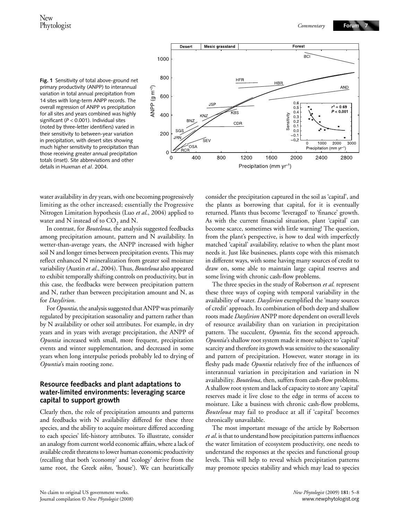



water availability in dry years, with one becoming progressively limiting as the other increased; essentially the Progressive Nitrogen Limitation hypothesis (Luo *et al*., 2004) applied to water and N instead of to  $CO<sub>2</sub>$  and N.

In contrast, for *Bouteloua*, the analysis suggested feedbacks among precipitation amount, pattern and N availability. In wetter-than-average years, the ANPP increased with higher soil N and longer times between precipitation events. This may reflect enhanced N mineralization from greater soil moisture variability (Austin *et al*., 2004). Thus, *Bouteloua* also appeared to exhibit temporally shifting controls on productivity, but in this case, the feedbacks were between precipitation pattern and N, rather than between precipitation amount and N, as for *Dasylirion*.

For *Opuntia*, the analysis suggested that ANPP was primarily regulated by precipitation seasonality and pattern rather than by N availability or other soil attributes. For example, in dry years and in years with average precipitation, the ANPP of *Opuntia* increased with small, more frequent, precipitation events and winter supplementation, and decreased in some years when long interpulse periods probably led to drying of *Opuntia*'s main rooting zone.

### **Resource feedbacks and plant adaptations to water-limited environments: leveraging scarce capital to support growth**

Clearly then, the role of precipitation amounts and patterns and feedbacks with N availability differed for these three species, and the ability to acquire moisture differed according to each species' life-history attributes. To illustrate, consider an analogy from current world economic affairs, where a lack of available credit threatens to lower human economic productivity (recalling that both 'economy' and 'ecology' derive from the same root, the Greek *oikos*, 'house'). We can heuristically

consider the precipitation captured in the soil as 'capital', and the plants as borrowing that capital, for it is eventually returned. Plants thus become 'leveraged' to 'finance' growth. As with the current financial situation, plant 'capital' can become scarce, sometimes with little warning! The question, from the plant's perspective, is how to deal with imperfectly matched 'capital' availability, relative to when the plant most needs it. Just like businesses, plants cope with this mismatch in different ways, with some having many sources of credit to draw on, some able to maintain large capital reserves and some living with chronic cash-flow problems.

The three species in the study of Robertson *et al.* represent these three ways of coping with temporal variability in the availability of water. *Dasylirion* exemplified the 'many sources of credit' approach. Its combination of both deep and shallow roots made *Dasylirion* ANPP more dependent on overall levels of resource availability than on variation in precipitation pattern. The succulent, *Opuntia*, fits the second approach. *Opuntia*'s shallow root system made it more subject to 'capital' scarcity and therefore its growth was sensitive to the seasonality and pattern of precipitation. However, water storage in its fleshy pads made *Opuntia* relatively free of the influences of interannual variation in precipitation and variation in N availability. *Bouteloua*, then, suffers from cash-flow problems. A shallow root system and lack of capacity to store any 'capital' reserves made it live close to the edge in terms of access to moisture. Like a business with chronic cash-flow problems, *Bouteloua* may fail to produce at all if 'capital' becomes chronically unavailable.

The most important message of the article by Robertson *et al*. is that to understand how precipitation patterns influences the water limitation of ecosystem productivity, one needs to understand the responses at the species and functional group levels. This will help to reveal which precipitation patterns may promote species stability and which may lead to species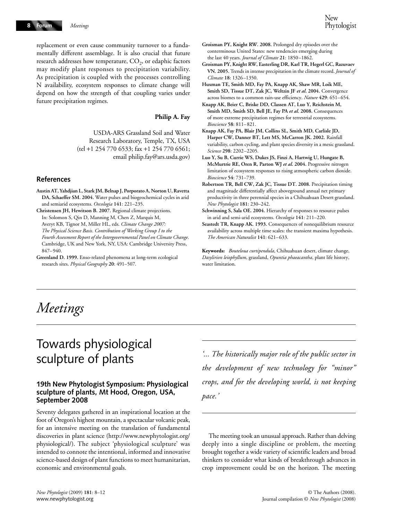replacement or even cause community turnover to a fundamentally different assemblage. It is also crucial that future research addresses how temperature,  $CO<sub>2</sub>$ , or edaphic factors may modify plant responses to precipitation variability. As precipitation is coupled with the processes controlling N availability, ecosystem responses to climate change will depend on how the strength of that coupling varies under future precipitation regimes.

#### **Philip A. Fay**

USDA-ARS Grassland Soil and Water Research Laboratory, Temple, TX, USA (tel +1 254 770 6533; fax +1 254 770 6561; email philip.fay@ars.usda.gov)

## **References**

**Austin AT, Yahdjian L, Stark JM, Belnap J, Porporato A, Norton U, Ravetta DA, Schaeffer SM. 2004.** Water pulses and biogeochemical cycles in arid and semiarid ecosystems. *Oecologia* **141**: 221–235.

**Christensen JH, Hewitson B. 2007.** Regional climate projections. In: Solomon S, Qin D, Manning M, Chen Z, Marquis M, Averyt KB, Tignor M, Miller HL, eds. *Climate Change 2007: The Physical Science Basis. Contribution of Working Group I to the Fourth Assessment Report of the Intergovernmental Panel on Climate Change*. Cambridge, UK and New York, NY, USA: Cambridge University Press, 847–940.

**Greenland D. 1999.** Enso-related phenomena at long-term ecological research sites. *Physical Geography* **20**: 491–507.

- **Groisman PY, Knight RW. 2008.** Prolonged dry episodes over the conterminous United States: new tendencies emerging during the last 40 years. *Journal of Climate* **21**: 1850–1862.
- **Groisman PY, Knight RW, Easterling DR, Karl TR, Hegerl GC, Razuvaev VN. 2005.** Trends in intense precipitation in the climate record. *Journal of Climate* **18**: 1326–1350.

**Huxman TE, Smith MD, Fay PA, Knapp AK, Shaw MR, Loik ME, Smith SD, Tissue DT, Zak JC, Weltzin JF** *et al***. 2004.** Convergence across biomes to a common rain-use efficiency. *Nature* **429**: 651–654.

**Knapp AK, Beier C, Briske DD, Classen AT, Luo Y, Reichstein M, Smith MD, Smith SD, Bell JE, Fay PA** *et al***. 2008.** Consequences of more extreme precipitation regimes for terrestrial ecosystems. *Bioscience* **58**: 811–821.

**Knapp AK, Fay PA, Blair JM, Collins SL, Smith MD, Carlisle JD, Harper CW, Danner BT, Lett MS, McCarron JK. 2002.** Rainfall variability, carbon cycling, and plant species diversity in a mesic grassland. *Science* **298**: 2202–2205.

**Luo Y, Su B, Currie WS, Dukes JS, Finzi A, Hartwig U, Hungate B, McMurtrie RE, Oren R, Parton WJ** *et al***. 2004.** Progressive nitrogen limitation of ecosystem responses to rising atmospheric carbon dioxide. *Bioscience* **54**: 731–739.

**Robertson TR, Bell CW, Zak JC, Tissue DT. 2008.** Precipitation timing and magnitude differentially affect aboveground annual net primary productivity in three perennial species in a Chihuahuan Desert grassland. *New Phytologist* **181**: 230–242.

**Schwinning S, Sala OE. 2004.** Hierarchy of responses to resource pulses in arid and semi-arid ecosystems. *Oecologia* **141**: 211–220.

**Seastedt TR, Knapp AK. 1993.** Consequences of nonequilibrium resource availability across multiple time scales: the transient maxima hypothesis. *The American Naturalist* **141**: 621–633.

**Keywords:** *Bouteloua curtipendula*, Chihuahuan desert, climate change, *Dasylirion leiophyllum*, grassland, *Opuntia phaeacantha*, plant life history, water limitation.

# *Meetings*

# Towards physiological sculpture of plants

## **19th New Phytologist Symposium: Physiological sculpture of plants, Mt Hood, Oregon, USA, September 2008**

Seventy delegates gathered in an inspirational location at the foot of Oregon's highest mountain, a spectacular volcanic peak, for an intensive meeting on the translation of fundamental discoveries in plant science [\(http://www.newphytologist.org/](http://www.newphytologist.org/physiological/) physiological/). The subject 'physiological sculpture' was intended to connote the intentional, informed and innovative science-based design of plant functions to meet humanitarian, economic and environmental goals.

*'... The historically major role of the public sector in the development of new technology for "minor" crops, and for the developing world, is not keeping pace.'*

The meeting took an unusual approach. Rather than delving deeply into a single discipline or problem, the meeting brought together a wide variety of scientific leaders and broad thinkers to consider what kinds of breakthrough advances in crop improvement could be on the horizon. The meeting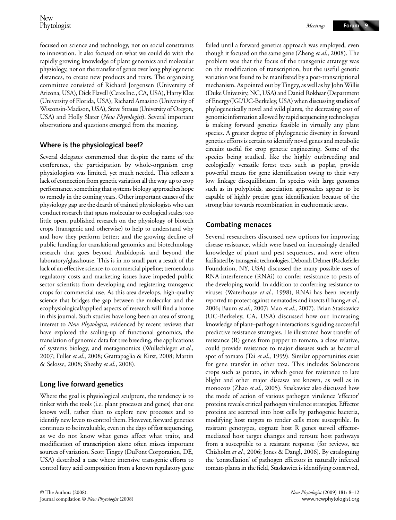focused on science and technology, not on social constraints to innovation. It also focused on what we could do with the rapidly growing knowledge of plant genomics and molecular physiology, not on the transfer of genes over long phylogenetic distances, to create new products and traits. The organizing committee consisted of Richard Jorgensen (University of Arizona, USA), Dick Flavell (Ceres Inc., CA, USA), Harry Klee (University of Florida, USA), Richard Amasino (University of Wisconsin-Madison, USA), Steve Strauss (University of Oregon, USA) and Holly Slater (*New Phytologist*). Several important observations and questions emerged from the meeting.

## **Where is the physiological beef?**

Several delegates commented that despite the name of the conference, the participation by whole-organism crop physiologists was limited, yet much needed. This reflects a lack of connection from genetic variation all the way up to crop performance, something that systems biology approaches hope to remedy in the coming years. Other important causes of the physiology gap are the dearth of trained physiologists who can conduct research that spans molecular to ecological scales; too little open, published research on the physiology of biotech crops (transgenic and otherwise) to help to understand why and how they perform better; and the growing decline of public funding for translational genomics and biotechnology research that goes beyond Arabidopsis and beyond the laboratory/glasshouse. This is in no small part a result of the lack of an effective science-to-commercial pipeline; tremendous regulatory costs and marketing issues have impeded public sector scientists from developing and registering transgenic crops for commercial use. As this area develops, high-quality science that bridges the gap between the molecular and the ecophysiological/applied aspects of research will find a home in this journal. Such studies have long been an area of strong interest to *New Phytologist*, evidenced by recent reviews that have explored the scaling-up of functional genomics, the translation of genomic data for tree breeding, the applications of systems biology, and metagenomics (Wullschleger *et al*., 2007; Fuller *et al*., 2008; Grattapaglia & Kirst, 2008; Martin & Selosse, 2008; Sheehy *et al*., 2008).

## **Long live forward genetics**

Where the goal is physiological sculpture, the tendency is to tinker with the tools (i.e. plant processes and genes) that one knows well, rather than to explore new processes and to identify new levers to control them. However, forward genetics continues to be invaluable, even in the days of fast sequencing, as we do not know what genes affect what traits, and modification of transcription alone often misses important sources of variation. Scott Tingey (DuPont Corporation, DE, USA) described a case where intensive transgenic efforts to control fatty acid composition from a known regulatory gene

failed until a forward genetics approach was employed, even though it focused on the same gene (Zheng *et al*., 2008). The problem was that the focus of the transgenic strategy was on the modification of transcription, but the useful genetic variation was found to be manifested by a post-transcriptional mechanism. As pointed out by Tingey, as well as by John Willis (Duke University, NC, USA) and Daniel Rokhsar (Department of Energy/JGI/UC-Berkeley, USA) when discussing studies of phylogenetically novel and wild plants, the decreasing cost of genomic information allowed by rapid sequencing technologies is making forward genetics feasible in virtually any plant species. A greater degree of phylogenetic diversity in forward genetics efforts is certain to identify novel genes and metabolic circuits useful for crop genetic engineering. Some of the species being studied, like the highly outbreeding and ecologically versatile forest trees such as poplar, provide powerful means for gene identification owing to their very low linkage disequilibrium. In species with large genomes such as in polyploids, association approaches appear to be capable of highly precise gene identification because of the strong bias towards recombination in euchromatic areas.

## **Combating menaces**

Several researchers discussed new options for improving disease resistance, which were based on increasingly detailed knowledge of plant and pest sequences, and were often facilitated by transgenic technologies. Deborah Delmer (Rockefeller Foundation, NY, USA) discussed the many possible uses of RNA interference (RNAi) to confer resistance to pests of the developing world. In addition to conferring resistance to viruses (Waterhouse *et al*., 1998), RNAi has been recently reported to protect against nematodes and insects (Huang *et al*., 2006; Baum *et al*., 2007; Mao *et al*., 2007). Brian Staskawicz (UC-Berkeley, CA, USA) discussed how our increasing knowledge of plant–pathogen interactions is guiding successful predictive resistance strategies. He illustrated how transfer of resistance (R) genes from pepper to tomato, a close relative, could provide resistance to major diseases such as bacterial spot of tomato (Tai *et al*., 1999). Similar opportunities exist for gene transfer in other taxa. This includes Solanceous crops such as potato, in which genes for resistance to late blight and other major diseases are known, as well as in monocots (Zhao *et al*., 2005). Staskawicz also discussed how the mode of action of various pathogen virulence 'effector' proteins reveals critical pathogen virulence strategies. Effector proteins are secreted into host cells by pathogenic bacteria, modifying host targets to render cells more susceptible. In resistant genotypes, cognate host R genes surveil effectormediated host target changes and reroute host pathways from a susceptible to a resistant response (for reviews, see Chisholm *et al*., 2006; Jones & Dangl, 2006). By cataloguing the 'constellation' of pathogen effectors in naturally infected tomato plants in the field, Staskawicz is identifying conserved,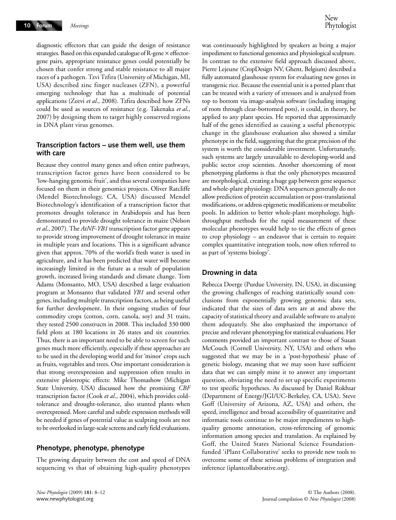diagnostic effectors that can guide the design of resistance strategies. Based on this expanded catalogue of R-gene  $\times$  effectorgene pairs, appropriate resistance genes could potentially be chosen that confer strong and stable resistance to all major races of a pathogen. Tzvi Tzfira (University of Michigan, MI, USA) described zinc finger nucleases (ZFN), a powerful emerging technology that has a multitude of potential applications (Zeevi *et al*., 2008). Tzfira described how ZFNs could be used as sources of resistance (e.g. Takenaka *et al*., 2007) by designing them to target highly conserved regions in DNA plant virus genomes.

#### **Transcription factors – use them well, use them with care**

Because they control many genes and often entire pathways, transcription factor genes have been considered to be 'low-hanging genomic fruit', and thus several companies have focused on them in their genomics projects. Oliver Ratcliffe (Mendel Biotechnology, CA, USA) discussed Mendel Biotechnology's identification of a transcription factor that promotes drought tolerance in Arabidopsis and has been demonstrated to provide drought tolerance in maize (Nelson *et al*., 2007). The *AtNF-YB1* transcription factor gene appears to provide strong improvement of drought tolerance in maize in multiple years and locations. This is a significant advance given that approx. 70% of the world's fresh water is used in agriculture, and it has been predicted that water will become increasingly limited in the future as a result of population growth, increased living standards and climate change. Tom Adams (Monsanto, MO, USA) described a large evaluation program at Monsanto that validated *YB1* and several other genes, including multiple transcription factors, as being useful for further development. In their ongoing studies of four commodity crops (cotton, corn, canola, soy) and 31 traits, they tested 2500 constructs in 2008. This included 330 000 field plots at 180 locations in 26 states and six countries. Thus, there is an important need to be able to screen for such genes much more efficiently, especially if these approaches are to be used in the developing world and for 'minor' crops such as fruits, vegetables and trees. One important consideration is that strong overexpression and suppression often results in extensive pleiotropic effects: Mike Thomashow (Michigan State University, USA) discussed how the promising *CBF* transcription factor (Cook *et al*., 2004), which provides coldtolerance and drought-tolerance, also stunted plants when overexpressed. More careful and subtle expression methods will be needed if genes of potential value as sculpting tools are not to be overlooked in large-scale screens and early field evaluations.

## **Phenotype, phenotype, phenotype**

The growing disparity between the cost and speed of DNA sequencing vs that of obtaining high-quality phenotypes

was continuously highlighted by speakers as being a major impediment to functional genomics and physiological sculpture. In contrast to the extensive field approach discussed above, Pierre Lejeune (CropDesign NV, Ghent, Belgium) described a fully automated glasshouse system for evaluating new genes in transgenic rice. Because the essential unit is a potted plant that can be treated with a variety of stressors and is analyzed from top to bottom via image-analysis software (including imaging of roots through clear-bottomed pots), it could, in theory, be applied to any plant species. He reported that approximately half of the genes identified as causing a useful phenotypic change in the glasshouse evaluation also showed a similar phenotype in the field, suggesting that the great precision of the system is worth the considerable investment. Unfortunately, such systems are largely unavailable to developing-world and public sector crop scientists. Another shortcoming of most phenotyping platforms is that the only phenotypes measured are morphological, creating a huge gap between gene sequence and whole-plant physiology. DNA sequences generally do not allow prediction of protein accumulation or post-translational modifications, or address epigenetic modifications or metabolite pools. In addition to better whole-plant morphology, highthroughput methods for the rapid measurement of these molecular phenotypes would help to tie the effects of genes to crop physiology – an endeavor that is certain to require complex quantitative integration tools, now often referred to as part of 'systems biology'.

## **Drowning in data**

Rebecca Doerge (Purdue University, IN, USA), in discussing the growing challenges of reaching statistically sound conclusions from exponentially growing genomic data sets, indicated that the sizes of data sets are at and above the capacity of statistical theory and available software to analyze them adequately. She also emphasized the importance of precise and relevant phenotyping for statistical evaluations. Her comments provided an important contrast to those of Susan McCouch (Cornell University, NY, USA) and others who suggested that we may be in a 'post-hypothesis' phase of genetic biology, meaning that we may soon have sufficient data that we can simply mine it to answer any important question, obviating the need to set up specific experiments to test specific hypotheses. As discussed by Daniel Rokhsar (Department of Energy/JGI/UC-Berkeley, CA, USA), Steve Goff (University of Arizona, AZ, USA) and others, the speed, intelligence and broad accessibility of quantitative and informatic tools continue to be major impediments to highquality genome annotation, cross-referencing of genomic information among species and translation. As explained by Goff, the United States National Science Foundationfunded 'iPlant Collaborative' seeks to provide new tools to overcome some of these serious problems of integration and inference (iplantcollaborative.org).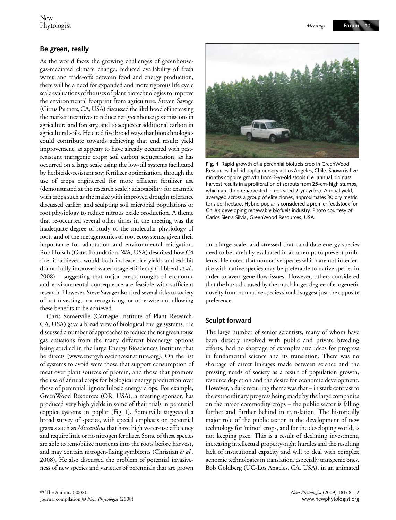### **Be green, really**

As the world faces the growing challenges of greenhousegas-mediated climate change, reduced availability of fresh water, and trade-offs between food and energy production, there will be a need for expanded and more rigorous life cycle scale evaluations of the uses of plant biotechnologies to improve the environmental footprint from agriculture. Steven Savage (Cirrus Partners, CA, USA) discussed the likelihood of increasing the market incentives to reduce net greenhouse gas emissions in agriculture and forestry, and to sequester additional carbon in agricultural soils. He cited five broad ways that biotechnologies could contribute towards achieving that end result: yield improvement, as appears to have already occurred with pestresistant transgenic crops; soil carbon sequestration, as has occurred on a large scale using the low-till systems facilitated by herbicide-resistant soy; fertilizer optimization, through the use of crops engineered for more efficient fertilizer use (demonstrated at the research scale); adaptability, for example with crops such as the maize with improved drought tolerance discussed earlier; and sculpting soil microbial populations or root physiology to reduce nitrous oxide production. A theme that re-occurred several other times in the meeting was the inadequate degree of study of the molecular physiology of roots and of the metagenomics of root ecosystems, given their importance for adaptation and environmental mitigation. Rob Horsch (Gates Foundation, WA, USA) described how C4 rice, if achieved, would both increase rice yields and exhibit dramatically improved water-usage efficiency (Hibberd *et al*., 2008) – suggesting that major breakthroughs of economic and environmental consequence are feasible with sufficient research. However, Steve Savage also cited several risks to society of not investing, not recognizing, or otherwise not allowing these benefits to be achieved.

Chris Somerville (Carnegie Institute of Plant Research, CA, USA) gave a broad view of biological energy systems. He discussed a number of approaches to reduce the net greenhouse gas emissions from the many different bioenergy options being studied in the large Energy Biosciences Institute that he directs (www.energybiosciencesinstitute.org). On the list of systems to avoid were those that support consumption of meat over plant sources of protein, and those that promote the use of annual crops for biological energy production over those of perennial lignocellulosic energy crops. For example, GreenWood Resources (OR, USA), a meeting sponsor, has produced very high yields in some of their trials in perennial coppice systems in poplar (Fig. 1). Somerville suggested a broad survey of species, with special emphasis on perennial grasses such as *Miscanthus* that have high water-use efficiency and require little or no nitrogen fertilizer. Some of these species are able to remobilize nutrients into the roots before harvest, and may contain nitrogen-fixing symbionts (Christian *et al*., 2008). He also discussed the problem of potential invasiveness of new species and varieties of perennials that are grown



**Fig. 1** Rapid growth of a perennial biofuels crop in GreenWood Resources' hybrid poplar nursery at Los Angeles, Chile. Shown is five months coppice growth from 2-yr-old stools (i.e. annual biomass harvest results in a proliferation of sprouts from 25-cm-high stumps, which are then reharvested in repeated 2-yr cycles). Annual yield, averaged across a group of elite clones, approximates 30 dry metric tons per hectare. Hybrid poplar is considered a premier feedstock for Chile's developing renewable biofuels industry. Photo courtesy of Carlos Sierra Silvia, GreenWood Resources, USA.

on a large scale, and stressed that candidate energy species need to be carefully evaluated in an attempt to prevent problems. He noted that nonnative species which are not interfertile with native species may be preferable to native species in order to avert gene-flow issues. However, others considered that the hazard caused by the much larger degree of ecogenetic novelty from nonnative species should suggest just the opposite preference.

#### **Sculpt forward**

The large number of senior scientists, many of whom have been directly involved with public and private breeding efforts, had no shortage of examples and ideas for progress in fundamental science and its translation. There was no shortage of direct linkages made between science and the pressing needs of society as a result of population growth, resource depletion and the desire for economic development. However, a dark recurring theme was that – in stark contrast to the extraordinary progress being made by the large companies on the major commodity crops – the public sector is falling further and further behind in translation. The historically major role of the public sector in the development of new technology for 'minor' crops, and for the developing world, is not keeping pace. This is a result of declining investment, increasing intellectual property-right hurdles and the resulting lack of institutional capacity and will to deal with complex genomic technologies in translation, especially transgenic ones. Bob Goldberg (UC-Los Angeles, CA, USA), in an animated